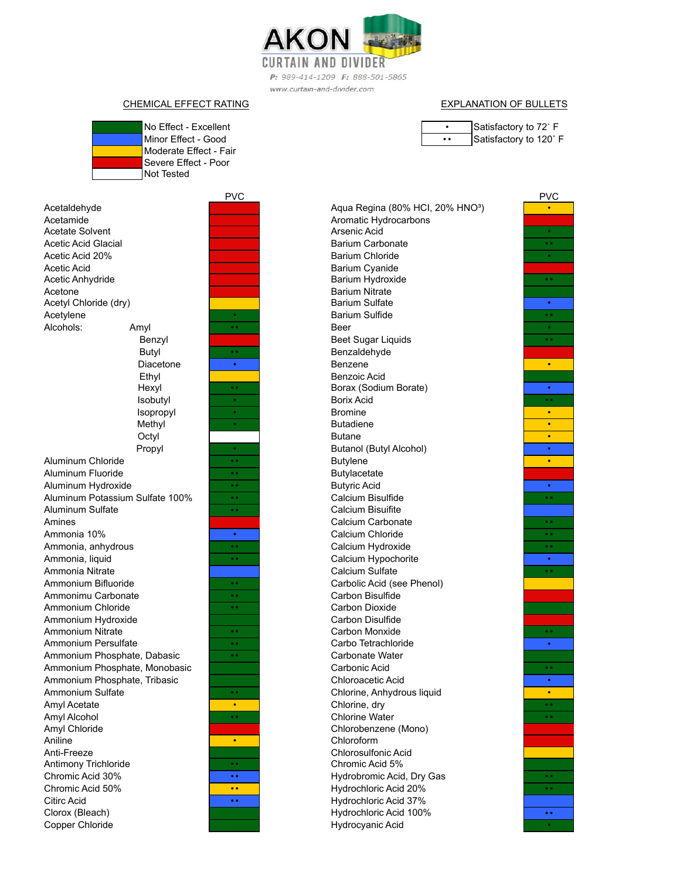

P: 989-414-1209 F: 888-501-5865 www.curtain-and-divider.com

## No Effect - Excellent CHEMICAL EFFECT RATING **EXPLANATION OF BULLETS**

Minor Fffect - Good Moderate Effect - Fair

|     | Satisfactory to 72° F  |
|-----|------------------------|
| . . | Satisfactory to 120° F |

Acetate Solvent Acetic Acid Glacial Acetaldehyde Acetamide Butyl Isopropyl Methyl **Octyl**  Propyl Hexyl Isobutyl Acetic Acid 20% Acetic Acid Acetic Anhydride Acetone Diacetone Ethyl Acetyl Chloride (dry) Acetylene Alcohols: Amyl Benzyl Aluminum Sulfate Amines Ammonia 10% Ammonia, anhydrous Aluminum Chloride Aluminum Fluoride Aluminum Hydroxide Aluminum Potassium Sulfate 100% Ammonium Chloride Ammonium Hydroxide Ammonium Nitrate Ammonium Persulfate Ammonia, liquid Ammonia Nitrate Ammonium Bifluoride Ammonimu Carbonate Amyl Acetate Amyl Alcohol Amyl Chloride Aniline Ammonium Phosphate, Dabasic Ammonium Phosphate, Monobasic Ammonium Phosphate, Tribasic Ammonium Sulfate Citirc Acid Clorox (Bleach) Copper Chloride Anti-Freeze Antimony Trichloride Chromic Acid 30% Chromic Acid 50%



PVC PVC • •• Barium Sulfide •• • • • Benzene •• • Borax (Sodium Borate) • •• Borix Acid • • • • Butadiene • • Butanol (Butyl Alcohol) •• • Butylene •• • Butyric Acid •• •• Calcium Bisulfide • **••** Calcium Chloride **•• ••** Calcium Chloride **••** •• •• Calcium Hydroxide •• • Calcium Hypochorite •• •• Carbon Monxide •• • Carbo Tetrachloride •• • Chlorine, Anhydrous liquid • •• Chlorine, dry •• •• Chlorine Water •• •• Hydrobromic Acid, Dry Gas •• •• Hydrochloric Acid 20%Hydrocyanic Acid • Aqua Regina (80% HCI, 20% HNO<sup>3</sup>) Barium Sulfate Beer Beet Sugar Liquids Butane Aromatic Hydrocarbons Arsenic Acid Barium Carbonate Barium Chloride Benzaldehyde Benzoic Acid Calcium Bisuifite Calcium Carbonate Barium Cyanide Barium Hydroxide Barium Nitrate Bromine Butylacetate Carbolic Acid (see Phenol) Carbon Bisulfide Carbon Dioxide Carbon Disulfide Calcium Sulfate Chloroacetic Acid Carbonate Water Carbonic Acid Hydrochloric Acid 37% Hydrochloric Acid 100% Chlorobenzene (Mono) Chloroform Chlorosulfonic Acid Chromic Acid 5%

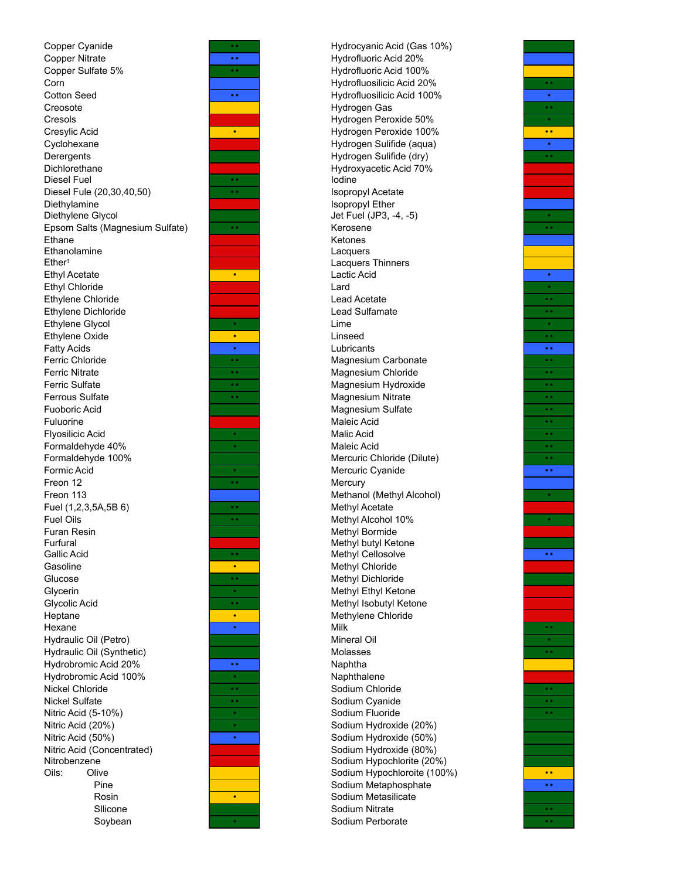Nickel Chloride **•• Sodium Chloride •• ••** Sodium Chloride Nickel Sulfate •• **Figure 10 According to the Society of Society According to the Contract of Society According to the Contract of Society According to the Contract of Society According to the Contract of Society According** Nitric Acid (5-10%) Nitric Acid (20%) Nitric Acid (50%) Nitric Acid (Concentrated) Nitrobenzene Sodium Hypochlorite (20%) Oils: Olive **Sodium Hypochloroite (100%) ••** Rosin Silicone **Sulicone Solution Sodium Nitrate** ••• Sodium Nitrate Soybean Copper Cyanide Creosote Cresols Cresylic Acid Cyclohexane Copper Nitrate Copper Sulfate 5% Corn Cotton Seed Diethylene Glycol Epsom Salts (Magnesium Sulfate) Ethane Ethanolamine **Derergents** Diesel Fule (20,30,40,50) Diethylamine Dichlorethane Diesel Fuel Ethylene Dichloride Ethylene Glycol Ethylene Oxide Fatty Acids Ether ³ Ethyl Acetate Ethyl Chloride Ethylene Chloride Fuoboric Acid Fuluorine Flyosilicic Acid Formaldehyde 40% Ferric Chloride Ferrous Sulfate Ferric Nitrate Ferric Sulfate Fuel (1,2,3,5A,5B 6) Fuel Oils Furan Resin Furfural Formaldehyde 100% Formic Acid Freon 12 Freon 113 Glycolic Acid Heptane Hexane Hydraulic Oil (Petro) Gallic Acid Gasoline Glucose Glycerin Hydraulic Oil (Synthetic) Hydrobromic Acid 20% Hydrobromic Acid 100%



•• Hydrocyanic Acid (Gas 10%) •• **Figure 1** Hydrofluoric Acid 20% •• Hydrofluoric Acid 100% Hydrofluosilicic Acid 20% •• •• **•• Hydrofluosilicic Acid 100%** Hydrogen Gas **Figure 1 Figure 1 Figure 1 Figure 1** Hydrogen Peroxide 50% • Hydrogen Peroxide 100% •• Hydrogen Sulifide (aqua) Hydrogen Sulifide (dry) **Fig. 1.1 ••** Hydroxyacetic Acid 70% •• Iodine Isopropyl Acetate Isopropyl Ether Jet Fuel (JP3, -4, -5) Kerosene Ketones Lacquers Lacquers Thinners • **Lactic Acid** Lard **Lead Acetate** Lead Sulfamate •• • Lime • Linseed •• • Lubricants **••** Lubricants **••** •• **Carl Magnesium Carbonate •• •• •• •• ••** •• **••** Magnesium Chloride •• **••** •• **••** •• **••** •• Magnesium Hydroxide •• The Contract of The Magnesium Nitrate •• The Contract of The Contract of The Contract of The Contract of The Contract of The Contract of The Contract of The Contract of The Contract of The Contrac •• Magnesium Nitrate •• Magnesium Sulfate Maleic Acid example and the set of the set of the set of the set of the set of the set of the set of the set of the set of<br>
Maleic Acid Maleic Acid Mercuric Chloride (Dilute) • Mercuric Cyanide •• Methanol (Methyl Alcohol) **Methyl Acetate** •• Methyl Alcohol 10% Methyl Bormide Methyl butyl Ketone Methyl Cellosolve **Figure 1** • **• Methyl Chloride Methyl Dichloride Methyl Ethyl Ketone** Methyl Isobutyl Ketone • Methylene Chloride<br>
Milk<br>
Milk • Nilk black of the Milk black of the Milk black of the Milk black of the Milk black of the Milk black of the M Mineral Oil Molasses •• • Naphthalene Sodium Fluoride • Sodium Hydroxide (20%) • Sodium Hydroxide (50%)<br>Sodium Hydroxide (80%) Pine **Example 3** Sodium Metaphosphate **Final Society of Sodium Metaphosphate** • Sodium Metasilicate Sodium Perborate